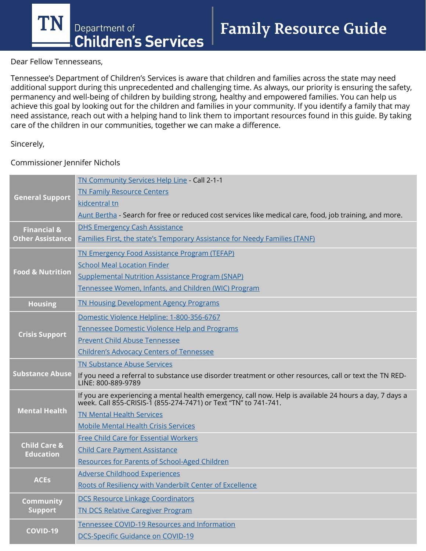**TN** Department of **Children's Services** 

**Family Resource Guide** 

Dear Fellow Tennesseans,

Tennessee's Department of Children's Services is aware that children and families across the state may need additional support during this unprecedented and challenging time. As always, our priority is ensuring the safety, permanency and well-being of children by building strong, healthy and empowered families. You can help us achieve this goal by looking out for the children and families in your community. If you identify a family that may need assistance, reach out with a helping hand to link them to important resources found in this guide. By taking care of the children in our communities, together we can make a difference.

### Sincerely,

Commissioner Jennifer Nichols

| <b>General Support</b>                      | TN Community Services Help Line - Call 2-1-1                                                                                                                               |
|---------------------------------------------|----------------------------------------------------------------------------------------------------------------------------------------------------------------------------|
|                                             | <b>TN Family Resource Centers</b>                                                                                                                                          |
|                                             | kidcentral tn                                                                                                                                                              |
|                                             | Aunt Bertha - Search for free or reduced cost services like medical care, food, job training, and more.                                                                    |
| <b>Financial &amp;</b>                      | <b>DHS Emergency Cash Assistance</b>                                                                                                                                       |
| <b>Other Assistance</b>                     | Families First, the state's Temporary Assistance for Needy Families (TANF)                                                                                                 |
| <b>Food &amp; Nutrition</b>                 | <b>TN Emergency Food Assistance Program (TEFAP)</b>                                                                                                                        |
|                                             | <b>School Meal Location Finder</b>                                                                                                                                         |
|                                             | <b>Supplemental Nutrition Assistance Program (SNAP)</b>                                                                                                                    |
|                                             | Tennessee Women, Infants, and Children (WIC) Program                                                                                                                       |
| <b>Housing</b>                              | <b>TN Housing Development Agency Programs</b>                                                                                                                              |
| <b>Crisis Support</b>                       | Domestic Violence Helpline: 1-800-356-6767                                                                                                                                 |
|                                             | Tennessee Domestic Violence Help and Programs                                                                                                                              |
|                                             | <b>Prevent Child Abuse Tennessee</b>                                                                                                                                       |
|                                             | <b>Children's Advocacy Centers of Tennessee</b>                                                                                                                            |
| <b>Substance Abuse</b>                      | <b>TN Substance Abuse Services</b>                                                                                                                                         |
|                                             | If you need a referral to substance use disorder treatment or other resources, call or text the TN RED-<br>LINE: 800-889-9789                                              |
| <b>Mental Health</b>                        | If you are experiencing a mental health emergency, call now. Help is available 24 hours a day, 7 days a<br>week. Call 855-CRISIS-1 (855-274-7471) or Text "TN" to 741-741. |
|                                             | <b>TN Mental Health Services</b>                                                                                                                                           |
|                                             | <b>Mobile Mental Health Crisis Services</b>                                                                                                                                |
| <b>Child Care &amp;</b><br><b>Education</b> | <b>Free Child Care for Essential Workers</b>                                                                                                                               |
|                                             | <b>Child Care Payment Assistance</b>                                                                                                                                       |
|                                             | <b>Resources for Parents of School-Aged Children</b>                                                                                                                       |
| <b>ACES</b>                                 | <b>Adverse Childhood Experiences</b>                                                                                                                                       |
|                                             | Roots of Resiliency with Vanderbilt Center of Excellence                                                                                                                   |
| <b>Community</b><br><b>Support</b>          | <b>DCS Resource Linkage Coordinators</b>                                                                                                                                   |
|                                             | <b>TN DCS Relative Caregiver Program</b>                                                                                                                                   |
| <b>COVID-19</b>                             | Tennessee COVID-19 Resources and Information                                                                                                                               |
|                                             | DCS-Specific Guidance on COVID-19                                                                                                                                          |